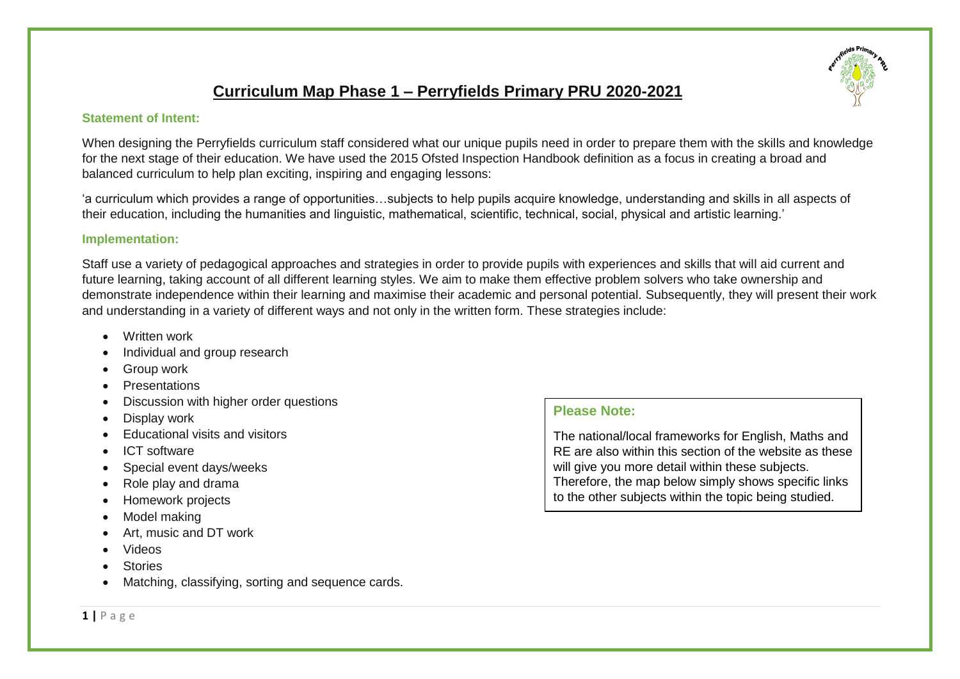# **Curriculum Map Phase 1 – Perryfields Primary PRU 2020-2021**

#### **Statement of Intent:**

When designing the Perryfields curriculum staff considered what our unique pupils need in order to prepare them with the skills and knowledge for the next stage of their education. We have used the 2015 Ofsted Inspection Handbook definition as a focus in creating a broad and balanced curriculum to help plan exciting, inspiring and engaging lessons:

'a curriculum which provides a range of opportunities…subjects to help pupils acquire knowledge, understanding and skills in all aspects of their education, including the humanities and linguistic, mathematical, scientific, technical, social, physical and artistic learning.'

#### **Implementation:**

Staff use a variety of pedagogical approaches and strategies in order to provide pupils with experiences and skills that will aid current and future learning, taking account of all different learning styles. We aim to make them effective problem solvers who take ownership and demonstrate independence within their learning and maximise their academic and personal potential. Subsequently, they will present their work and understanding in a variety of different ways and not only in the written form. These strategies include:

- Written work
- Individual and group research
- Group work
- **Presentations**
- Discussion with higher order questions
- Display work
- Educational visits and visitors
- ICT software
- Special event days/weeks
- Role play and drama
- Homework projects
- Model making
- Art, music and DT work
- Videos
- **Stories**
- Matching, classifying, sorting and sequence cards.

### **Please Note:**

The national/local frameworks for English, Maths and RE are also within this section of the website as these will give you more detail within these subjects. Therefore, the map below simply shows specific links to the other subjects within the topic being studied.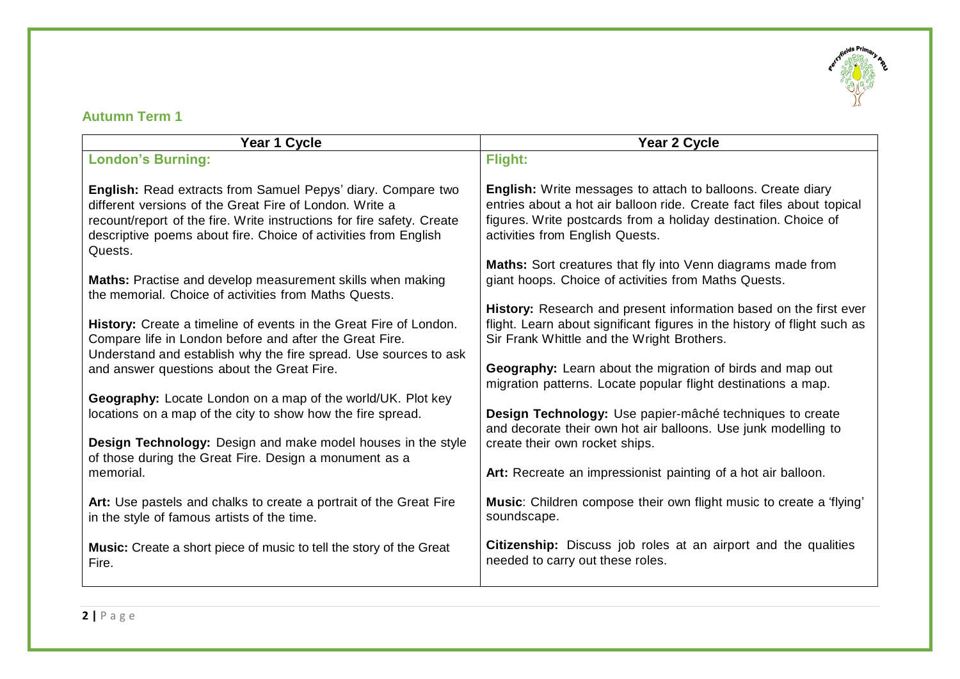

### **Autumn Term 1**

| Year 1 Cycle                                                                                                                                                                                                                                                                    | Year 2 Cycle                                                                                                                                                                                                                                     |
|---------------------------------------------------------------------------------------------------------------------------------------------------------------------------------------------------------------------------------------------------------------------------------|--------------------------------------------------------------------------------------------------------------------------------------------------------------------------------------------------------------------------------------------------|
| <b>London's Burning:</b>                                                                                                                                                                                                                                                        | Flight:                                                                                                                                                                                                                                          |
| English: Read extracts from Samuel Pepys' diary. Compare two<br>different versions of the Great Fire of London. Write a<br>recount/report of the fire. Write instructions for fire safety. Create<br>descriptive poems about fire. Choice of activities from English<br>Quests. | <b>English:</b> Write messages to attach to balloons. Create diary<br>entries about a hot air balloon ride. Create fact files about topical<br>figures. Write postcards from a holiday destination. Choice of<br>activities from English Quests. |
| Maths: Practise and develop measurement skills when making<br>the memorial. Choice of activities from Maths Quests.                                                                                                                                                             | Maths: Sort creatures that fly into Venn diagrams made from<br>giant hoops. Choice of activities from Maths Quests.                                                                                                                              |
| History: Create a timeline of events in the Great Fire of London.<br>Compare life in London before and after the Great Fire.<br>Understand and establish why the fire spread. Use sources to ask                                                                                | History: Research and present information based on the first ever<br>flight. Learn about significant figures in the history of flight such as<br>Sir Frank Whittle and the Wright Brothers.                                                      |
| and answer questions about the Great Fire.                                                                                                                                                                                                                                      | Geography: Learn about the migration of birds and map out<br>migration patterns. Locate popular flight destinations a map.                                                                                                                       |
| Geography: Locate London on a map of the world/UK. Plot key<br>locations on a map of the city to show how the fire spread.                                                                                                                                                      | Design Technology: Use papier-mâché techniques to create<br>and decorate their own hot air balloons. Use junk modelling to                                                                                                                       |
| <b>Design Technology:</b> Design and make model houses in the style<br>of those during the Great Fire. Design a monument as a                                                                                                                                                   | create their own rocket ships.                                                                                                                                                                                                                   |
| memorial.                                                                                                                                                                                                                                                                       | Art: Recreate an impressionist painting of a hot air balloon.                                                                                                                                                                                    |
| Art: Use pastels and chalks to create a portrait of the Great Fire<br>in the style of famous artists of the time.                                                                                                                                                               | Music: Children compose their own flight music to create a 'flying'<br>soundscape.                                                                                                                                                               |
| <b>Music:</b> Create a short piece of music to tell the story of the Great<br>Fire.                                                                                                                                                                                             | <b>Citizenship:</b> Discuss job roles at an airport and the qualities<br>needed to carry out these roles.                                                                                                                                        |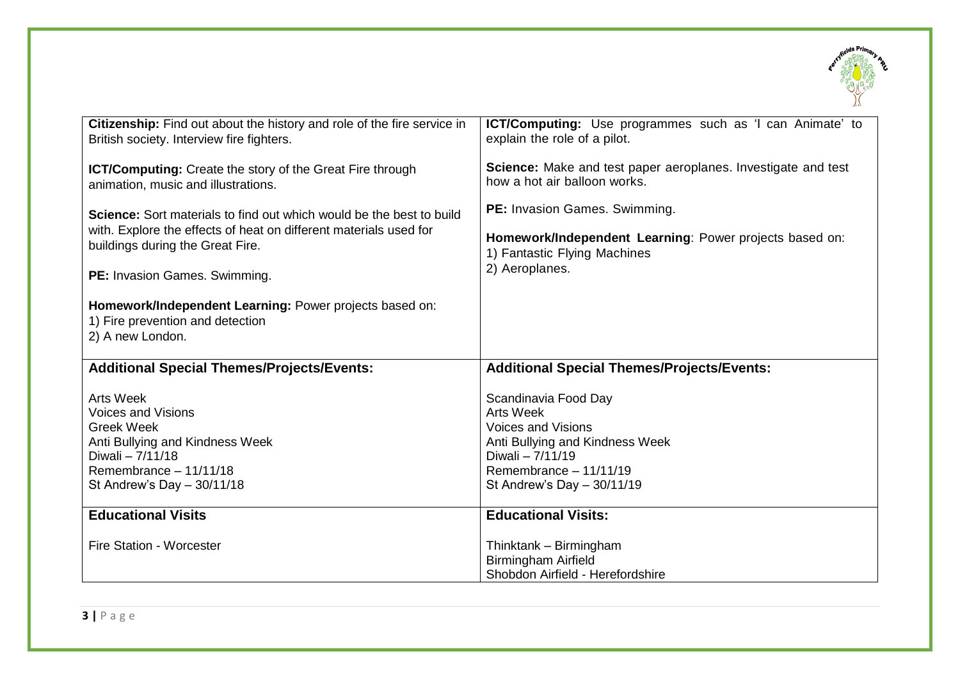

| Citizenship: Find out about the history and role of the fire service in                                         | ICT/Computing: Use programmes such as 'I can Animate' to      |
|-----------------------------------------------------------------------------------------------------------------|---------------------------------------------------------------|
| British society. Interview fire fighters.                                                                       | explain the role of a pilot.                                  |
| ICT/Computing: Create the story of the Great Fire through                                                       | Science: Make and test paper aeroplanes. Investigate and test |
| animation, music and illustrations.                                                                             | how a hot air balloon works.                                  |
| <b>Science:</b> Sort materials to find out which would be the best to build                                     | PE: Invasion Games. Swimming.                                 |
| with. Explore the effects of heat on different materials used for                                               | Homework/Independent Learning: Power projects based on:       |
| buildings during the Great Fire.                                                                                | 1) Fantastic Flying Machines                                  |
| PE: Invasion Games. Swimming.                                                                                   | 2) Aeroplanes.                                                |
| Homework/Independent Learning: Power projects based on:<br>1) Fire prevention and detection<br>2) A new London. |                                                               |
| <b>Additional Special Themes/Projects/Events:</b>                                                               | <b>Additional Special Themes/Projects/Events:</b>             |
| <b>Arts Week</b>                                                                                                | Scandinavia Food Day                                          |
| <b>Voices and Visions</b>                                                                                       | <b>Arts Week</b>                                              |
| <b>Greek Week</b>                                                                                               | <b>Voices and Visions</b>                                     |
| Anti Bullying and Kindness Week                                                                                 | Anti Bullying and Kindness Week                               |
| Diwali - 7/11/18                                                                                                | Diwali - 7/11/19                                              |
| Remembrance - 11/11/18                                                                                          | Remembrance - 11/11/19                                        |
| St Andrew's Day $-$ 30/11/18                                                                                    | St Andrew's Day - 30/11/19                                    |
| <b>Educational Visits</b>                                                                                       | <b>Educational Visits:</b>                                    |
| <b>Fire Station - Worcester</b>                                                                                 | Thinktank - Birmingham<br><b>Birmingham Airfield</b>          |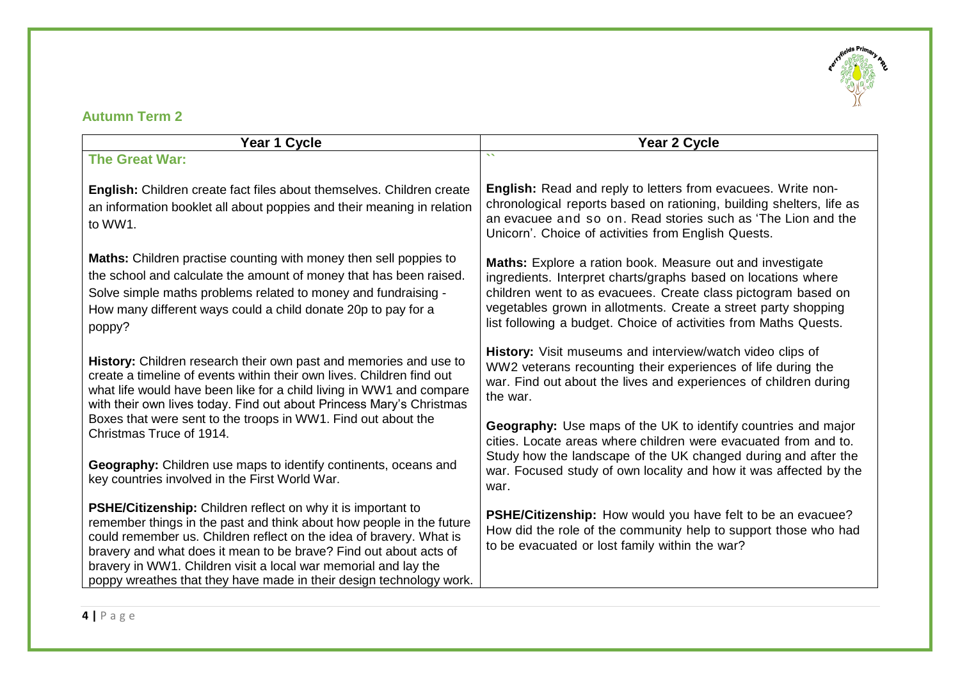

### **Autumn Term 2**

| Year 1 Cycle                                                                                                                                                                                                                                                                                                                                                                                                               | Year 2 Cycle                                                                                                                                                                                                                                                                                                                      |
|----------------------------------------------------------------------------------------------------------------------------------------------------------------------------------------------------------------------------------------------------------------------------------------------------------------------------------------------------------------------------------------------------------------------------|-----------------------------------------------------------------------------------------------------------------------------------------------------------------------------------------------------------------------------------------------------------------------------------------------------------------------------------|
| <b>The Great War:</b>                                                                                                                                                                                                                                                                                                                                                                                                      | $\mathbf{v}$                                                                                                                                                                                                                                                                                                                      |
| English: Children create fact files about themselves. Children create<br>an information booklet all about poppies and their meaning in relation<br>to WW1.                                                                                                                                                                                                                                                                 | English: Read and reply to letters from evacuees. Write non-<br>chronological reports based on rationing, building shelters, life as<br>an evacuee and so on. Read stories such as 'The Lion and the<br>Unicorn'. Choice of activities from English Quests.                                                                       |
| Maths: Children practise counting with money then sell poppies to<br>the school and calculate the amount of money that has been raised.<br>Solve simple maths problems related to money and fundraising -<br>How many different ways could a child donate 20p to pay for a<br>poppy?                                                                                                                                       | Maths: Explore a ration book. Measure out and investigate<br>ingredients. Interpret charts/graphs based on locations where<br>children went to as evacuees. Create class pictogram based on<br>vegetables grown in allotments. Create a street party shopping<br>list following a budget. Choice of activities from Maths Quests. |
| History: Children research their own past and memories and use to<br>create a timeline of events within their own lives. Children find out<br>what life would have been like for a child living in WW1 and compare<br>with their own lives today. Find out about Princess Mary's Christmas                                                                                                                                 | History: Visit museums and interview/watch video clips of<br>WW2 veterans recounting their experiences of life during the<br>war. Find out about the lives and experiences of children during<br>the war.                                                                                                                         |
| Boxes that were sent to the troops in WW1. Find out about the<br>Christmas Truce of 1914.                                                                                                                                                                                                                                                                                                                                  | <b>Geography:</b> Use maps of the UK to identify countries and major<br>cities. Locate areas where children were evacuated from and to.                                                                                                                                                                                           |
| Geography: Children use maps to identify continents, oceans and<br>key countries involved in the First World War.                                                                                                                                                                                                                                                                                                          | Study how the landscape of the UK changed during and after the<br>war. Focused study of own locality and how it was affected by the<br>war.                                                                                                                                                                                       |
| PSHE/Citizenship: Children reflect on why it is important to<br>remember things in the past and think about how people in the future<br>could remember us. Children reflect on the idea of bravery. What is<br>bravery and what does it mean to be brave? Find out about acts of<br>bravery in WW1. Children visit a local war memorial and lay the<br>poppy wreathes that they have made in their design technology work. | PSHE/Citizenship: How would you have felt to be an evacuee?<br>How did the role of the community help to support those who had<br>to be evacuated or lost family within the war?                                                                                                                                                  |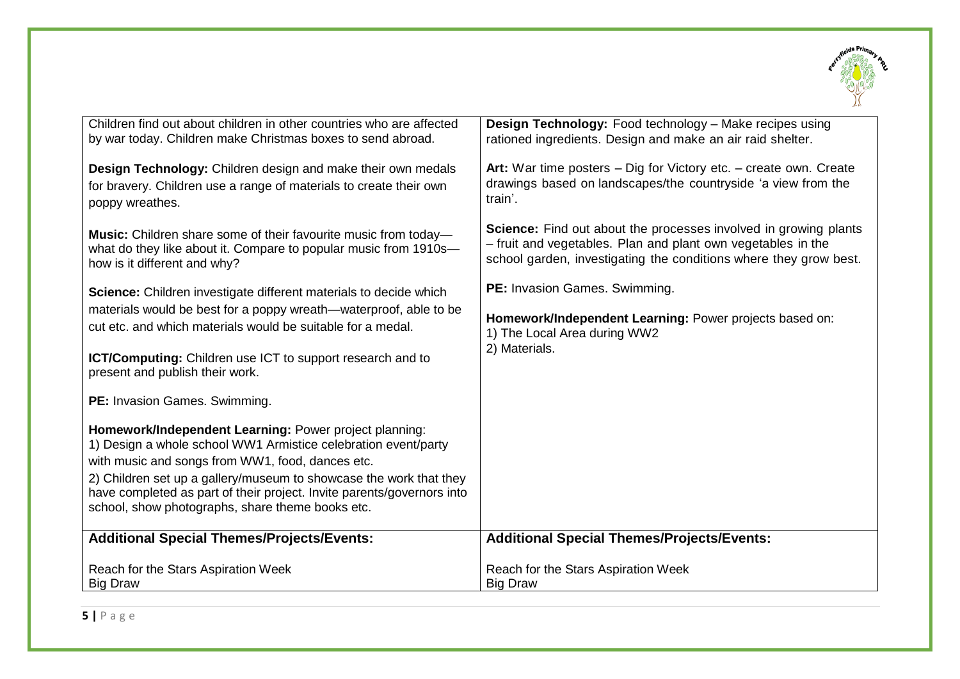

| Children find out about children in other countries who are affected                                                                                                                                                                                                                                                                                                             | Design Technology: Food technology - Make recipes using                 |
|----------------------------------------------------------------------------------------------------------------------------------------------------------------------------------------------------------------------------------------------------------------------------------------------------------------------------------------------------------------------------------|-------------------------------------------------------------------------|
| by war today. Children make Christmas boxes to send abroad.                                                                                                                                                                                                                                                                                                                      | rationed ingredients. Design and make an air raid shelter.              |
| Design Technology: Children design and make their own medals                                                                                                                                                                                                                                                                                                                     | Art: War time posters - Dig for Victory etc. - create own. Create       |
| for bravery. Children use a range of materials to create their own                                                                                                                                                                                                                                                                                                               | drawings based on landscapes/the countryside 'a view from the           |
| poppy wreathes.                                                                                                                                                                                                                                                                                                                                                                  | train'.                                                                 |
| Music: Children share some of their favourite music from today-                                                                                                                                                                                                                                                                                                                  | <b>Science:</b> Find out about the processes involved in growing plants |
| what do they like about it. Compare to popular music from 1910s-                                                                                                                                                                                                                                                                                                                 | - fruit and vegetables. Plan and plant own vegetables in the            |
| how is it different and why?                                                                                                                                                                                                                                                                                                                                                     | school garden, investigating the conditions where they grow best.       |
| Science: Children investigate different materials to decide which                                                                                                                                                                                                                                                                                                                | PE: Invasion Games. Swimming.                                           |
| materials would be best for a poppy wreath—waterproof, able to be                                                                                                                                                                                                                                                                                                                | Homework/Independent Learning: Power projects based on:                 |
| cut etc. and which materials would be suitable for a medal.                                                                                                                                                                                                                                                                                                                      | 1) The Local Area during WW2                                            |
| <b>ICT/Computing:</b> Children use ICT to support research and to<br>present and publish their work.                                                                                                                                                                                                                                                                             | 2) Materials.                                                           |
| PE: Invasion Games. Swimming.                                                                                                                                                                                                                                                                                                                                                    |                                                                         |
| Homework/Independent Learning: Power project planning:<br>1) Design a whole school WW1 Armistice celebration event/party<br>with music and songs from WW1, food, dances etc.<br>2) Children set up a gallery/museum to showcase the work that they<br>have completed as part of their project. Invite parents/governors into<br>school, show photographs, share theme books etc. |                                                                         |
| <b>Additional Special Themes/Projects/Events:</b>                                                                                                                                                                                                                                                                                                                                | <b>Additional Special Themes/Projects/Events:</b>                       |
| Reach for the Stars Aspiration Week                                                                                                                                                                                                                                                                                                                                              | Reach for the Stars Aspiration Week                                     |
| <b>Big Draw</b>                                                                                                                                                                                                                                                                                                                                                                  | <b>Big Draw</b>                                                         |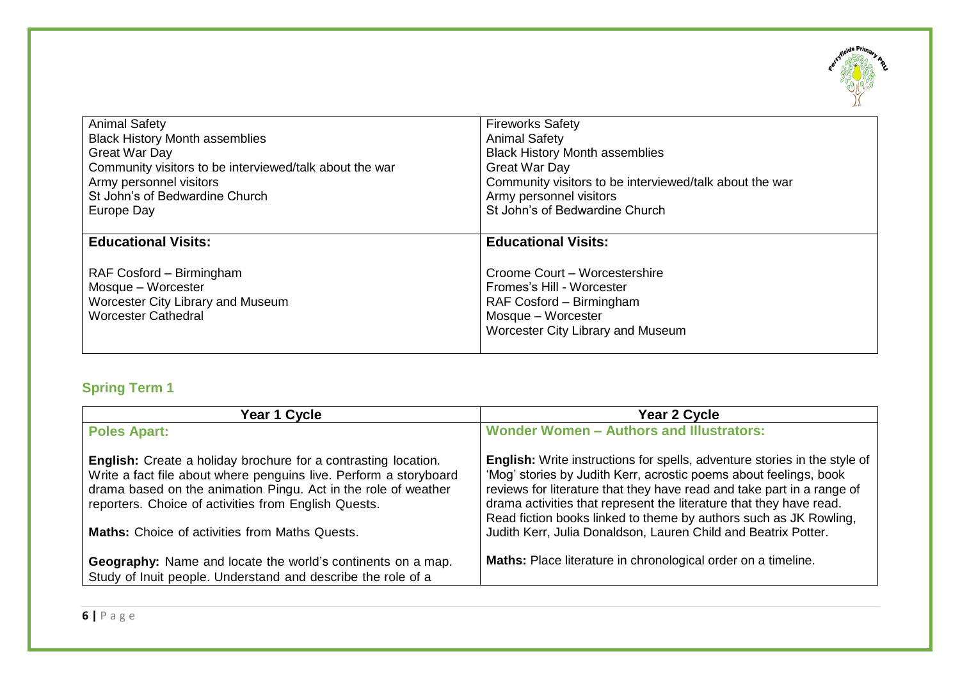

| <b>Animal Safety</b>                                                                                                                                   | <b>Fireworks Safety</b>                                                                                                                                                         |
|--------------------------------------------------------------------------------------------------------------------------------------------------------|---------------------------------------------------------------------------------------------------------------------------------------------------------------------------------|
| <b>Black History Month assemblies</b>                                                                                                                  | <b>Animal Safety</b>                                                                                                                                                            |
| Great War Day                                                                                                                                          | <b>Black History Month assemblies</b>                                                                                                                                           |
| Community visitors to be interviewed/talk about the war                                                                                                | Great War Day                                                                                                                                                                   |
| Army personnel visitors                                                                                                                                | Community visitors to be interviewed/talk about the war                                                                                                                         |
| St John's of Bedwardine Church                                                                                                                         | Army personnel visitors                                                                                                                                                         |
| Europe Day                                                                                                                                             | St John's of Bedwardine Church                                                                                                                                                  |
| <b>Educational Visits:</b><br>RAF Cosford – Birmingham<br>Mosque - Worcester<br><b>Worcester City Library and Museum</b><br><b>Worcester Cathedral</b> | <b>Educational Visits:</b><br>Croome Court – Worcestershire<br>Fromes's Hill - Worcester<br>RAF Cosford - Birmingham<br>Mosque - Worcester<br>Worcester City Library and Museum |

# **Spring Term 1**

| Year 1 Cycle                                                                                                                                                                                                                                                                                                           | Year 2 Cycle                                                                                                                                                                                                                                                                                                                                                                                                                           |
|------------------------------------------------------------------------------------------------------------------------------------------------------------------------------------------------------------------------------------------------------------------------------------------------------------------------|----------------------------------------------------------------------------------------------------------------------------------------------------------------------------------------------------------------------------------------------------------------------------------------------------------------------------------------------------------------------------------------------------------------------------------------|
| <b>Poles Apart:</b>                                                                                                                                                                                                                                                                                                    | <b>Wonder Women - Authors and Illustrators:</b>                                                                                                                                                                                                                                                                                                                                                                                        |
| English: Create a holiday brochure for a contrasting location.<br>Write a fact file about where penguins live. Perform a storyboard<br>drama based on the animation Pingu. Act in the role of weather<br>reporters. Choice of activities from English Quests.<br><b>Maths:</b> Choice of activities from Maths Quests. | English: Write instructions for spells, adventure stories in the style of<br>'Mog' stories by Judith Kerr, acrostic poems about feelings, book<br>reviews for literature that they have read and take part in a range of<br>drama activities that represent the literature that they have read.<br>Read fiction books linked to theme by authors such as JK Rowling,<br>Judith Kerr, Julia Donaldson, Lauren Child and Beatrix Potter. |
| Geography: Name and locate the world's continents on a map.<br>Study of Inuit people. Understand and describe the role of a                                                                                                                                                                                            | Maths: Place literature in chronological order on a timeline.                                                                                                                                                                                                                                                                                                                                                                          |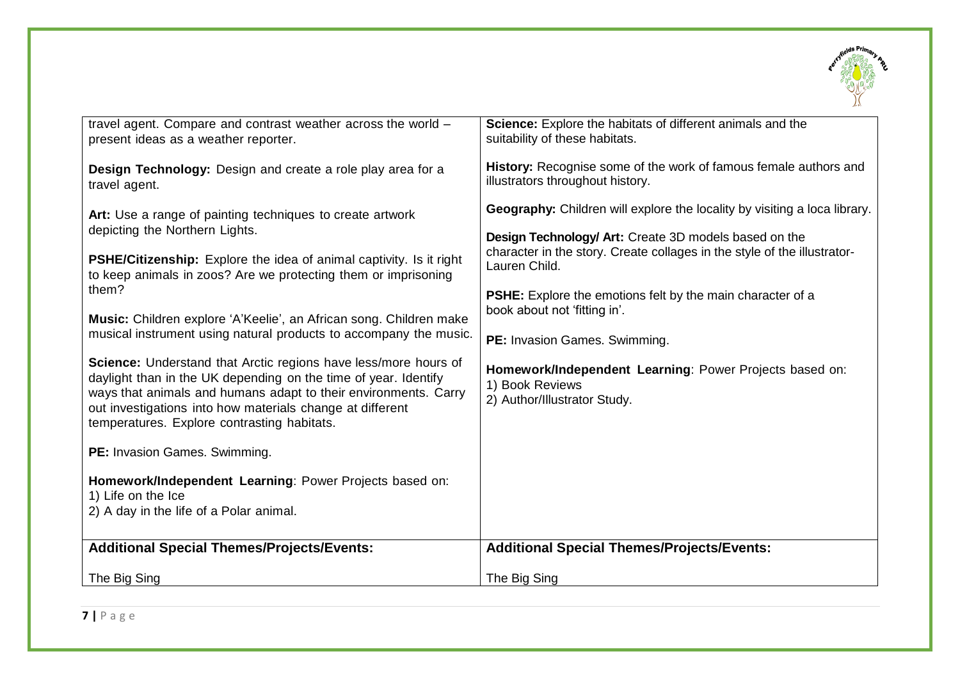

| travel agent. Compare and contrast weather across the world -<br>present ideas as a weather reporter.                                                                                                                                                                                                             | Science: Explore the habitats of different animals and the<br>suitability of these habitats.               |
|-------------------------------------------------------------------------------------------------------------------------------------------------------------------------------------------------------------------------------------------------------------------------------------------------------------------|------------------------------------------------------------------------------------------------------------|
| Design Technology: Design and create a role play area for a<br>travel agent.                                                                                                                                                                                                                                      | History: Recognise some of the work of famous female authors and<br>illustrators throughout history.       |
| Art: Use a range of painting techniques to create artwork                                                                                                                                                                                                                                                         | <b>Geography:</b> Children will explore the locality by visiting a loca library.                           |
| depicting the Northern Lights.                                                                                                                                                                                                                                                                                    | Design Technology/ Art: Create 3D models based on the                                                      |
| PSHE/Citizenship: Explore the idea of animal captivity. Is it right<br>to keep animals in zoos? Are we protecting them or imprisoning                                                                                                                                                                             | character in the story. Create collages in the style of the illustrator-<br>Lauren Child.                  |
| them?                                                                                                                                                                                                                                                                                                             | <b>PSHE:</b> Explore the emotions felt by the main character of a<br>book about not 'fitting in'.          |
| Music: Children explore 'A'Keelie', an African song. Children make<br>musical instrument using natural products to accompany the music.                                                                                                                                                                           |                                                                                                            |
|                                                                                                                                                                                                                                                                                                                   | PE: Invasion Games. Swimming.                                                                              |
| Science: Understand that Arctic regions have less/more hours of<br>daylight than in the UK depending on the time of year. Identify<br>ways that animals and humans adapt to their environments. Carry<br>out investigations into how materials change at different<br>temperatures. Explore contrasting habitats. | Homework/Independent Learning: Power Projects based on:<br>1) Book Reviews<br>2) Author/Illustrator Study. |
| PE: Invasion Games. Swimming.                                                                                                                                                                                                                                                                                     |                                                                                                            |
| Homework/Independent Learning: Power Projects based on:<br>1) Life on the Ice                                                                                                                                                                                                                                     |                                                                                                            |
| 2) A day in the life of a Polar animal.                                                                                                                                                                                                                                                                           |                                                                                                            |
| <b>Additional Special Themes/Projects/Events:</b>                                                                                                                                                                                                                                                                 | <b>Additional Special Themes/Projects/Events:</b>                                                          |
| The Big Sing                                                                                                                                                                                                                                                                                                      | The Big Sing                                                                                               |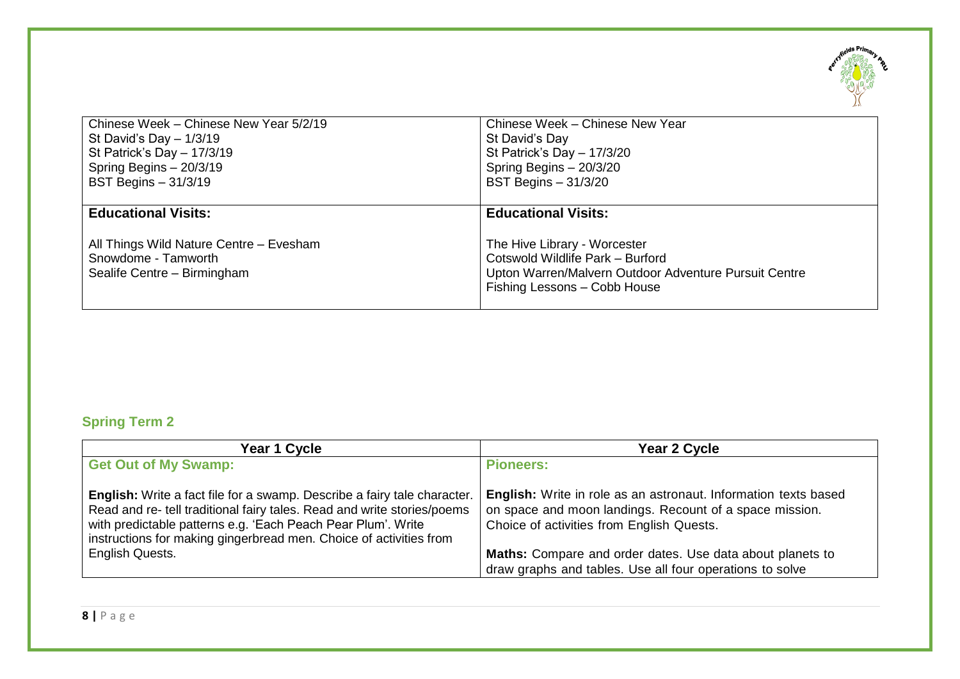

| Chinese Week - Chinese New Year 5/2/19             | Chinese Week - Chinese New Year                                                                                           |
|----------------------------------------------------|---------------------------------------------------------------------------------------------------------------------------|
| St David's Day $-1/3/19$                           | St David's Day                                                                                                            |
| St Patrick's Day - 17/3/19                         | St Patrick's Day $-17/3/20$                                                                                               |
| Spring Begins - 20/3/19                            | Spring Begins - 20/3/20                                                                                                   |
| <b>BST Begins - 31/3/19</b>                        | <b>BST Begins - 31/3/20</b>                                                                                               |
| <b>Educational Visits:</b>                         | <b>Educational Visits:</b>                                                                                                |
| All Things Wild Nature Centre - Evesham            | The Hive Library - Worcester                                                                                              |
| Snowdome - Tamworth<br>Sealife Centre - Birmingham | Cotswold Wildlife Park - Burford<br>Upton Warren/Malvern Outdoor Adventure Pursuit Centre<br>Fishing Lessons - Cobb House |

# **Spring Term 2**

| Year 1 Cycle                                                                                                                                                                                                                                                                                     | Year 2 Cycle                                                                                                                                                            |
|--------------------------------------------------------------------------------------------------------------------------------------------------------------------------------------------------------------------------------------------------------------------------------------------------|-------------------------------------------------------------------------------------------------------------------------------------------------------------------------|
| <b>Get Out of My Swamp:</b>                                                                                                                                                                                                                                                                      | <b>Pioneers:</b>                                                                                                                                                        |
| <b>English:</b> Write a fact file for a swamp. Describe a fairy tale character.<br>Read and re- tell traditional fairy tales. Read and write stories/poems<br>with predictable patterns e.g. 'Each Peach Pear Plum'. Write<br>instructions for making gingerbread men. Choice of activities from | English: Write in role as an astronaut. Information texts based<br>on space and moon landings. Recount of a space mission.<br>Choice of activities from English Quests. |
| English Quests.                                                                                                                                                                                                                                                                                  | Maths: Compare and order dates. Use data about planets to                                                                                                               |
|                                                                                                                                                                                                                                                                                                  | draw graphs and tables. Use all four operations to solve                                                                                                                |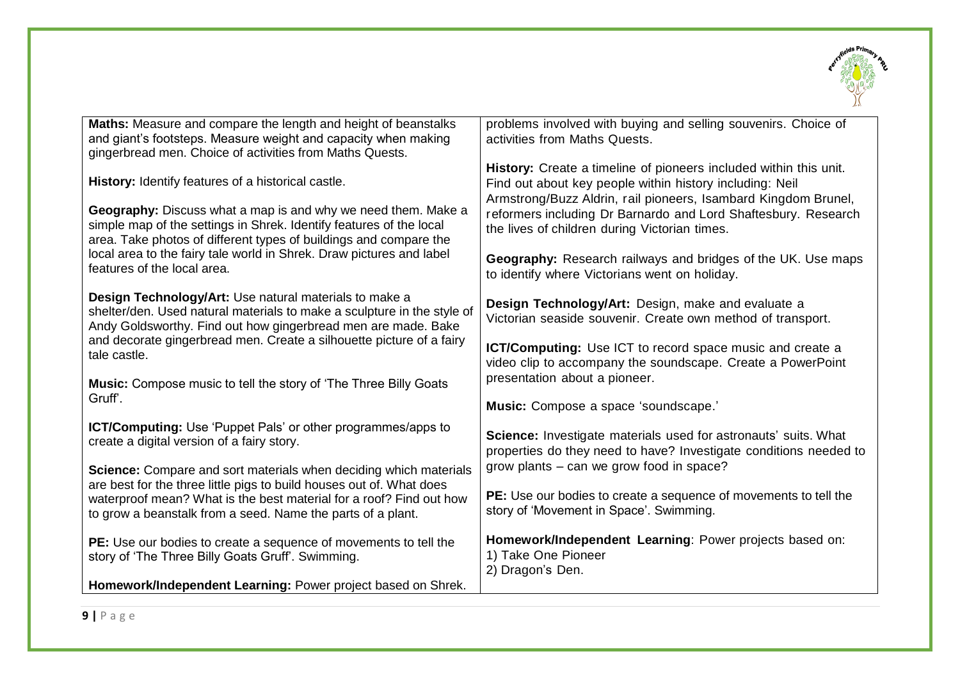

| Maths: Measure and compare the length and height of beanstalks                                                    | problems involved with buying and selling souvenirs. Choice of                                                                |
|-------------------------------------------------------------------------------------------------------------------|-------------------------------------------------------------------------------------------------------------------------------|
| and giant's footsteps. Measure weight and capacity when making                                                    | activities from Maths Quests.                                                                                                 |
| gingerbread men. Choice of activities from Maths Quests.                                                          |                                                                                                                               |
| History: Identify features of a historical castle.                                                                | History: Create a timeline of pioneers included within this unit.<br>Find out about key people within history including: Neil |
|                                                                                                                   | Armstrong/Buzz Aldrin, rail pioneers, Isambard Kingdom Brunel,                                                                |
| Geography: Discuss what a map is and why we need them. Make a                                                     | reformers including Dr Barnardo and Lord Shaftesbury. Research                                                                |
| simple map of the settings in Shrek. Identify features of the local                                               | the lives of children during Victorian times.                                                                                 |
| area. Take photos of different types of buildings and compare the                                                 |                                                                                                                               |
| local area to the fairy tale world in Shrek. Draw pictures and label<br>features of the local area.               | Geography: Research railways and bridges of the UK. Use maps                                                                  |
|                                                                                                                   | to identify where Victorians went on holiday.                                                                                 |
| Design Technology/Art: Use natural materials to make a                                                            | Design Technology/Art: Design, make and evaluate a                                                                            |
| shelter/den. Used natural materials to make a sculpture in the style of                                           | Victorian seaside souvenir. Create own method of transport.                                                                   |
| Andy Goldsworthy. Find out how gingerbread men are made. Bake                                                     |                                                                                                                               |
| and decorate gingerbread men. Create a silhouette picture of a fairy<br>tale castle.                              | ICT/Computing: Use ICT to record space music and create a                                                                     |
|                                                                                                                   | video clip to accompany the soundscape. Create a PowerPoint                                                                   |
| Music: Compose music to tell the story of 'The Three Billy Goats                                                  | presentation about a pioneer.                                                                                                 |
| Gruff'.                                                                                                           | Music: Compose a space 'soundscape.'                                                                                          |
|                                                                                                                   |                                                                                                                               |
| <b>ICT/Computing:</b> Use 'Puppet Pals' or other programmes/apps to<br>create a digital version of a fairy story. | Science: Investigate materials used for astronauts' suits. What                                                               |
|                                                                                                                   | properties do they need to have? Investigate conditions needed to                                                             |
| Science: Compare and sort materials when deciding which materials                                                 | grow plants – can we grow food in space?                                                                                      |
| are best for the three little pigs to build houses out of. What does                                              |                                                                                                                               |
| waterproof mean? What is the best material for a roof? Find out how                                               | PE: Use our bodies to create a sequence of movements to tell the<br>story of 'Movement in Space'. Swimming.                   |
| to grow a beanstalk from a seed. Name the parts of a plant.                                                       |                                                                                                                               |
| PE: Use our bodies to create a sequence of movements to tell the                                                  | Homework/Independent Learning: Power projects based on:                                                                       |
| story of 'The Three Billy Goats Gruff'. Swimming.                                                                 | 1) Take One Pioneer                                                                                                           |
|                                                                                                                   | 2) Dragon's Den.                                                                                                              |
| Homework/Independent Learning: Power project based on Shrek.                                                      |                                                                                                                               |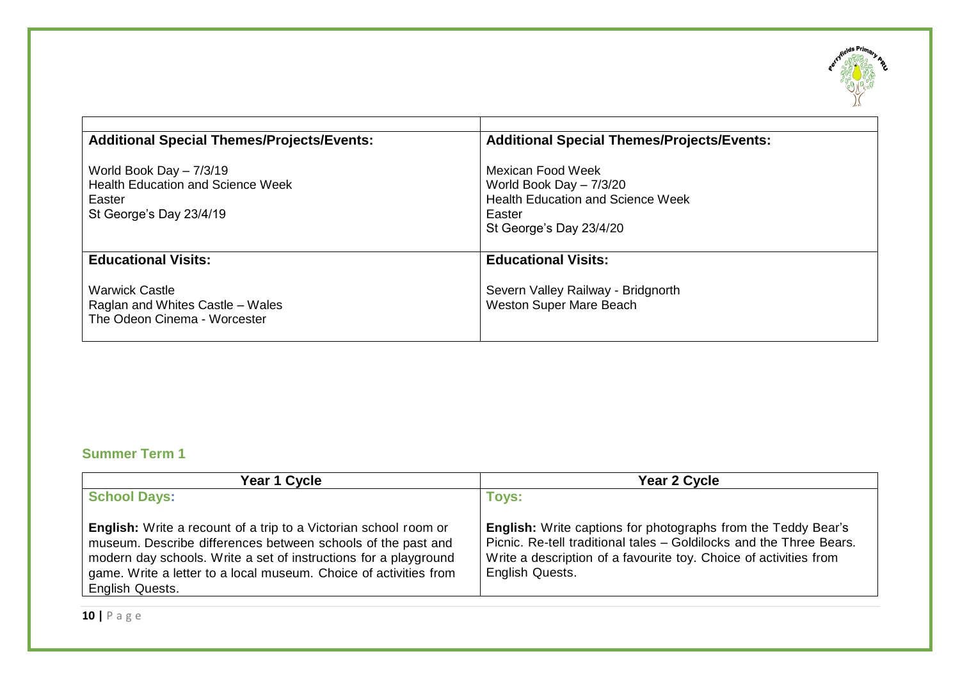

| <b>Additional Special Themes/Projects/Events:</b><br>World Book Day $-7/3/19$<br><b>Health Education and Science Week</b><br>Easter<br>St George's Day 23/4/19 | <b>Additional Special Themes/Projects/Events:</b><br>Mexican Food Week<br>World Book Day $-7/3/20$<br><b>Health Education and Science Week</b><br>Easter<br>St George's Day 23/4/20 |
|----------------------------------------------------------------------------------------------------------------------------------------------------------------|-------------------------------------------------------------------------------------------------------------------------------------------------------------------------------------|
| <b>Educational Visits:</b><br><b>Warwick Castle</b><br>Raglan and Whites Castle – Wales<br>The Odeon Cinema - Worcester                                        | <b>Educational Visits:</b><br>Severn Valley Railway - Bridgnorth<br>Weston Super Mare Beach                                                                                         |

## **Summer Term 1**

| Year 1 Cycle                                                                                                                                                                                                                                                                                 | Year 2 Cycle                                                                                                                                                                                                                        |
|----------------------------------------------------------------------------------------------------------------------------------------------------------------------------------------------------------------------------------------------------------------------------------------------|-------------------------------------------------------------------------------------------------------------------------------------------------------------------------------------------------------------------------------------|
| <b>School Days:</b>                                                                                                                                                                                                                                                                          | <b>Toys:</b>                                                                                                                                                                                                                        |
| English: Write a recount of a trip to a Victorian school room or<br>museum. Describe differences between schools of the past and<br>modern day schools. Write a set of instructions for a playground<br>game. Write a letter to a local museum. Choice of activities from<br>English Quests. | <b>English:</b> Write captions for photographs from the Teddy Bear's<br>Picnic. Re-tell traditional tales - Goldilocks and the Three Bears.<br>Write a description of a favourite toy. Choice of activities from<br>English Quests. |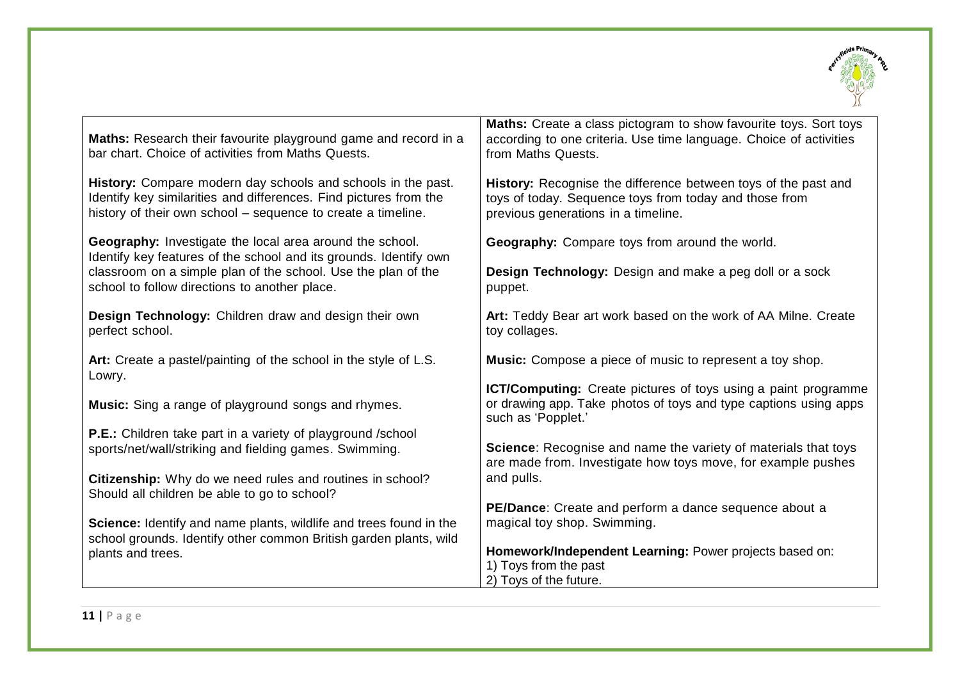

| Maths: Research their favourite playground game and record in a<br>bar chart. Choice of activities from Maths Quests.                                                                             | Maths: Create a class pictogram to show favourite toys. Sort toys<br>according to one criteria. Use time language. Choice of activities<br>from Maths Quests.   |
|---------------------------------------------------------------------------------------------------------------------------------------------------------------------------------------------------|-----------------------------------------------------------------------------------------------------------------------------------------------------------------|
| History: Compare modern day schools and schools in the past.<br>Identify key similarities and differences. Find pictures from the<br>history of their own school – sequence to create a timeline. | History: Recognise the difference between toys of the past and<br>toys of today. Sequence toys from today and those from<br>previous generations in a timeline. |
| Geography: Investigate the local area around the school.<br>Identify key features of the school and its grounds. Identify own                                                                     | Geography: Compare toys from around the world.                                                                                                                  |
| classroom on a simple plan of the school. Use the plan of the<br>school to follow directions to another place.                                                                                    | Design Technology: Design and make a peg doll or a sock<br>puppet.                                                                                              |
| Design Technology: Children draw and design their own<br>perfect school.                                                                                                                          | Art: Teddy Bear art work based on the work of AA Milne. Create<br>toy collages.                                                                                 |
| Art: Create a pastel/painting of the school in the style of L.S.<br>Lowry.                                                                                                                        | <b>Music:</b> Compose a piece of music to represent a toy shop.                                                                                                 |
|                                                                                                                                                                                                   | <b>ICT/Computing:</b> Create pictures of toys using a paint programme                                                                                           |
| <b>Music:</b> Sing a range of playground songs and rhymes.                                                                                                                                        | or drawing app. Take photos of toys and type captions using apps<br>such as 'Popplet.'                                                                          |
| P.E.: Children take part in a variety of playground /school                                                                                                                                       |                                                                                                                                                                 |
| sports/net/wall/striking and fielding games. Swimming.                                                                                                                                            | Science: Recognise and name the variety of materials that toys<br>are made from. Investigate how toys move, for example pushes                                  |
| Citizenship: Why do we need rules and routines in school?<br>Should all children be able to go to school?                                                                                         | and pulls.                                                                                                                                                      |
|                                                                                                                                                                                                   | PE/Dance: Create and perform a dance sequence about a                                                                                                           |
| Science: Identify and name plants, wildlife and trees found in the<br>school grounds. Identify other common British garden plants, wild                                                           | magical toy shop. Swimming.                                                                                                                                     |
| plants and trees.                                                                                                                                                                                 | Homework/Independent Learning: Power projects based on:                                                                                                         |
|                                                                                                                                                                                                   | 1) Toys from the past                                                                                                                                           |
|                                                                                                                                                                                                   | 2) Toys of the future.                                                                                                                                          |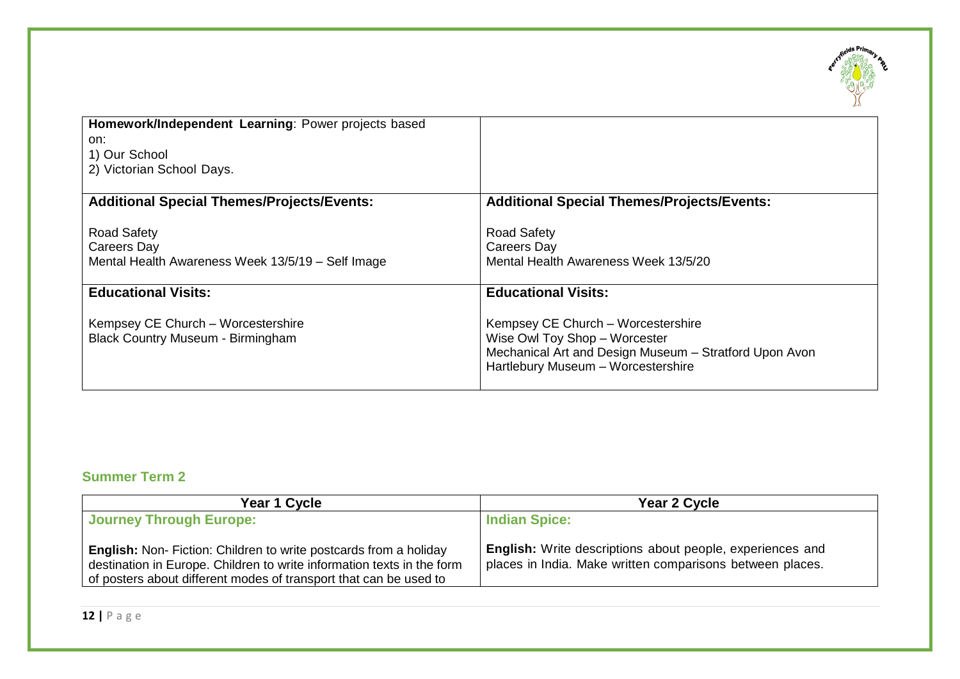

| Homework/Independent Learning: Power projects based                                           |                                                                                                                                                                     |
|-----------------------------------------------------------------------------------------------|---------------------------------------------------------------------------------------------------------------------------------------------------------------------|
| on:<br>1) Our School                                                                          |                                                                                                                                                                     |
| 2) Victorian School Days.                                                                     |                                                                                                                                                                     |
| <b>Additional Special Themes/Projects/Events:</b>                                             | <b>Additional Special Themes/Projects/Events:</b>                                                                                                                   |
| <b>Road Safety</b><br><b>Careers Day</b><br>Mental Health Awareness Week 13/5/19 - Self Image | <b>Road Safety</b><br>Careers Day<br>Mental Health Awareness Week 13/5/20                                                                                           |
| <b>Educational Visits:</b>                                                                    | <b>Educational Visits:</b>                                                                                                                                          |
| Kempsey CE Church - Worcestershire<br><b>Black Country Museum - Birmingham</b>                | Kempsey CE Church - Worcestershire<br>Wise Owl Toy Shop - Worcester<br>Mechanical Art and Design Museum - Stratford Upon Avon<br>Hartlebury Museum - Worcestershire |

## **Summer Term 2**

| Year 1 Cycle                                                                                                                                                                                                            | Year 2 Cycle                                                                                                                  |
|-------------------------------------------------------------------------------------------------------------------------------------------------------------------------------------------------------------------------|-------------------------------------------------------------------------------------------------------------------------------|
| <b>Journey Through Europe:</b>                                                                                                                                                                                          | <b>Indian Spice:</b>                                                                                                          |
| <b>English:</b> Non- Fiction: Children to write postcards from a holiday<br>destination in Europe. Children to write information texts in the form<br>of posters about different modes of transport that can be used to | <b>English:</b> Write descriptions about people, experiences and<br>places in India. Make written comparisons between places. |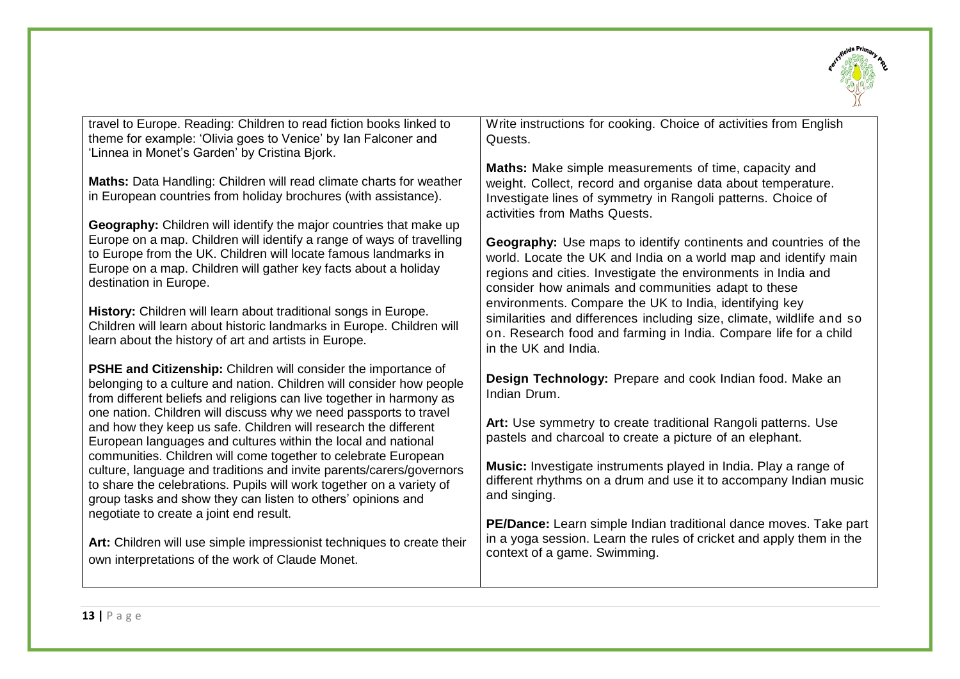

| travel to Europe. Reading: Children to read fiction books linked to<br>theme for example: 'Olivia goes to Venice' by Ian Falconer and<br>'Linnea in Monet's Garden' by Cristina Bjork.                                                                                                                      | Write instructions for cooking. Choice of activities from English<br>Quests.                                                                                                                                                                                      |
|-------------------------------------------------------------------------------------------------------------------------------------------------------------------------------------------------------------------------------------------------------------------------------------------------------------|-------------------------------------------------------------------------------------------------------------------------------------------------------------------------------------------------------------------------------------------------------------------|
| Maths: Data Handling: Children will read climate charts for weather<br>in European countries from holiday brochures (with assistance).                                                                                                                                                                      | Maths: Make simple measurements of time, capacity and<br>weight. Collect, record and organise data about temperature.<br>Investigate lines of symmetry in Rangoli patterns. Choice of<br>activities from Maths Quests.                                            |
| Geography: Children will identify the major countries that make up<br>Europe on a map. Children will identify a range of ways of travelling<br>to Europe from the UK. Children will locate famous landmarks in<br>Europe on a map. Children will gather key facts about a holiday<br>destination in Europe. | <b>Geography:</b> Use maps to identify continents and countries of the<br>world. Locate the UK and India on a world map and identify main<br>regions and cities. Investigate the environments in India and<br>consider how animals and communities adapt to these |
| History: Children will learn about traditional songs in Europe.<br>Children will learn about historic landmarks in Europe. Children will<br>learn about the history of art and artists in Europe.                                                                                                           | environments. Compare the UK to India, identifying key<br>similarities and differences including size, climate, wildlife and so<br>on. Research food and farming in India. Compare life for a child<br>in the UK and India.                                       |
| <b>PSHE and Citizenship:</b> Children will consider the importance of<br>belonging to a culture and nation. Children will consider how people<br>from different beliefs and religions can live together in harmony as                                                                                       | Design Technology: Prepare and cook Indian food. Make an<br>Indian Drum.                                                                                                                                                                                          |
| one nation. Children will discuss why we need passports to travel<br>and how they keep us safe. Children will research the different<br>European languages and cultures within the local and national                                                                                                       | Art: Use symmetry to create traditional Rangoli patterns. Use<br>pastels and charcoal to create a picture of an elephant.                                                                                                                                         |
| communities. Children will come together to celebrate European<br>culture, language and traditions and invite parents/carers/governors<br>to share the celebrations. Pupils will work together on a variety of<br>group tasks and show they can listen to others' opinions and                              | Music: Investigate instruments played in India. Play a range of<br>different rhythms on a drum and use it to accompany Indian music<br>and singing.                                                                                                               |
| negotiate to create a joint end result.<br>Art: Children will use simple impressionist techniques to create their<br>own interpretations of the work of Claude Monet.                                                                                                                                       | PE/Dance: Learn simple Indian traditional dance moves. Take part<br>in a yoga session. Learn the rules of cricket and apply them in the<br>context of a game. Swimming.                                                                                           |
|                                                                                                                                                                                                                                                                                                             |                                                                                                                                                                                                                                                                   |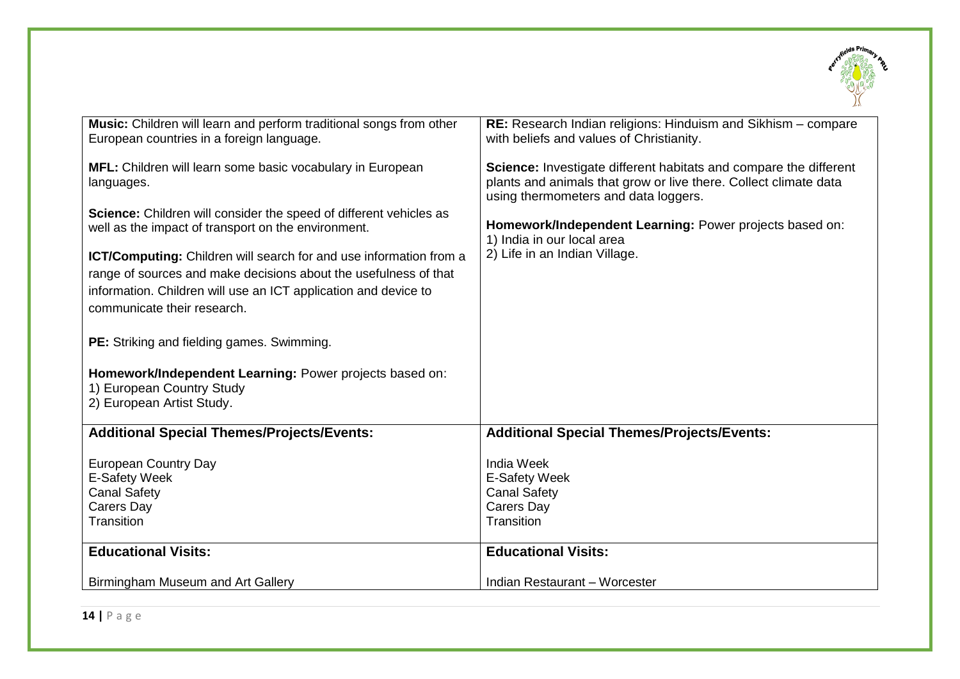

| Music: Children will learn and perform traditional songs from other<br>European countries in a foreign language.                                                                                                                                                                                                                                                                                                                                                                                                                                                  | RE: Research Indian religions: Hinduism and Sikhism - compare<br>with beliefs and values of Christianity.                                                                                                                                                                                               |
|-------------------------------------------------------------------------------------------------------------------------------------------------------------------------------------------------------------------------------------------------------------------------------------------------------------------------------------------------------------------------------------------------------------------------------------------------------------------------------------------------------------------------------------------------------------------|---------------------------------------------------------------------------------------------------------------------------------------------------------------------------------------------------------------------------------------------------------------------------------------------------------|
| MFL: Children will learn some basic vocabulary in European<br>languages.<br><b>Science:</b> Children will consider the speed of different vehicles as<br>well as the impact of transport on the environment.<br>ICT/Computing: Children will search for and use information from a<br>range of sources and make decisions about the usefulness of that<br>information. Children will use an ICT application and device to<br>communicate their research.<br>PE: Striking and fielding games. Swimming.<br>Homework/Independent Learning: Power projects based on: | Science: Investigate different habitats and compare the different<br>plants and animals that grow or live there. Collect climate data<br>using thermometers and data loggers.<br>Homework/Independent Learning: Power projects based on:<br>1) India in our local area<br>2) Life in an Indian Village. |
| 1) European Country Study<br>2) European Artist Study.                                                                                                                                                                                                                                                                                                                                                                                                                                                                                                            |                                                                                                                                                                                                                                                                                                         |
| <b>Additional Special Themes/Projects/Events:</b>                                                                                                                                                                                                                                                                                                                                                                                                                                                                                                                 | <b>Additional Special Themes/Projects/Events:</b>                                                                                                                                                                                                                                                       |
| <b>European Country Day</b><br>E-Safety Week<br><b>Canal Safety</b><br>Carers Day<br>Transition                                                                                                                                                                                                                                                                                                                                                                                                                                                                   | <b>India Week</b><br>E-Safety Week<br><b>Canal Safety</b><br><b>Carers Day</b><br>Transition                                                                                                                                                                                                            |
| <b>Educational Visits:</b>                                                                                                                                                                                                                                                                                                                                                                                                                                                                                                                                        | <b>Educational Visits:</b>                                                                                                                                                                                                                                                                              |
| Birmingham Museum and Art Gallery                                                                                                                                                                                                                                                                                                                                                                                                                                                                                                                                 | Indian Restaurant - Worcester                                                                                                                                                                                                                                                                           |